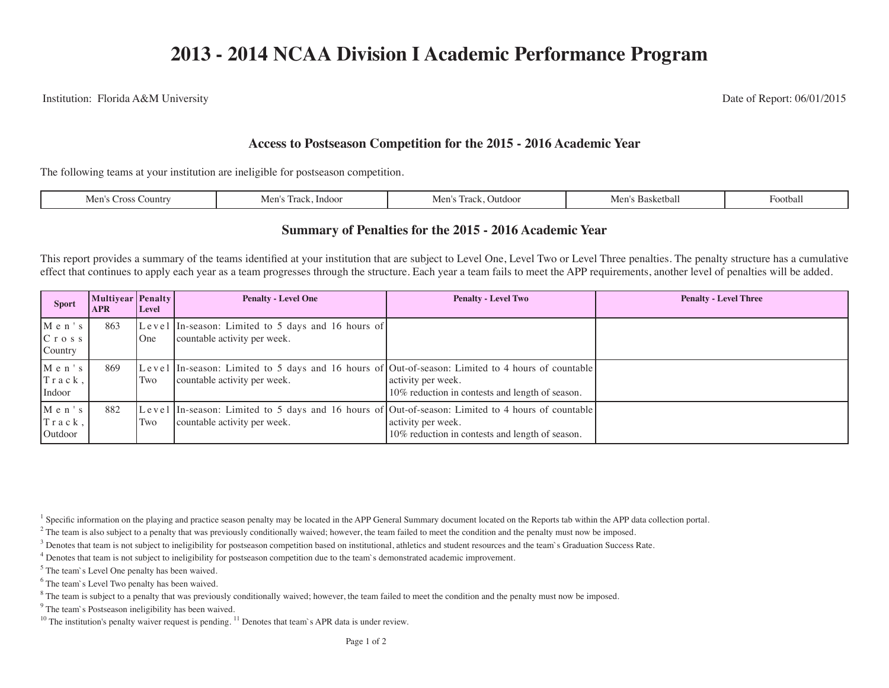Institution: Florida A&M University Date of Report: 06/01/2015

## **Access to Postseason Competition for the 2015 - 2016 Academic Year**

The following teams at your institution are ineligible for postseason competition.

| ountr<br>Dutdov<br>$\pm$ mdo.<br>. OOLDAF<br>suvai<br>.<br>IVIL I<br>11 V I<br>$\sim$ $\sim$ |
|----------------------------------------------------------------------------------------------|
|----------------------------------------------------------------------------------------------|

## **Summary of Penalties for the 2015 - 2016 Academic Year**

This report provides a summary of the teams identified at your institution that are subject to Level One, Level Two or Level Three penalties. The penalty structure has a cumulative effect that continues to apply each year as a team progresses through the structure. Each year a team fails to meet the APP requirements, another level of penalties will be added.

| <b>Sport</b>                           | <b>Multiyear Penalty</b><br><b>APR</b> | Level | <b>Penalty - Level One</b>                                                                                                        | <b>Penalty - Level Two</b>                                            | <b>Penalty - Level Three</b> |
|----------------------------------------|----------------------------------------|-------|-----------------------------------------------------------------------------------------------------------------------------------|-----------------------------------------------------------------------|------------------------------|
| $M$ e n $'s$<br>$C$ r o s s<br>Country | 863                                    | One   | Level In-season: Limited to 5 days and 16 hours of<br>countable activity per week.                                                |                                                                       |                              |
| $M$ e n $'s$<br>Track,<br>Indoor       | 869                                    | Two   | Level In-season: Limited to 5 days and 16 hours of Out-of-season: Limited to 4 hours of countable<br>countable activity per week. | activity per week.<br>10% reduction in contests and length of season. |                              |
| $M$ e n $'s$<br>Track,<br>Outdoor      | 882                                    | Two   | Level In-season: Limited to 5 days and 16 hours of Out-of-season: Limited to 4 hours of countable<br>countable activity per week. | activity per week.<br>10% reduction in contests and length of season. |                              |

<sup>1</sup> Specific information on the playing and practice season penalty may be located in the APP General Summary document located on the Reports tab within the APP data collection portal.

 $2<sup>2</sup>$  The team is also subject to a penalty that was previously conditionally waived; however, the team failed to meet the condition and the penalty must now be imposed.

 $3$  Denotes that team is not subject to ineligibility for postseason competition based on institutional, athletics and student resources and the team's Graduation Success Rate.

<sup>4</sup> Denotes that team is not subject to ineligibility for postseason competition due to the team's demonstrated academic improvement.

<sup>5</sup> The team's Level One penalty has been waived.

<sup>6</sup> The team's Level Two penalty has been waived.

 $8$  The team is subject to a penalty that was previously conditionally waived; however, the team failed to meet the condition and the penalty must now be imposed.

<sup>9</sup> The team`s Postseason ineligibility has been waived.

<sup>10</sup> The institution's penalty waiver request is pending. <sup>11</sup> Denotes that team`s APR data is under review.